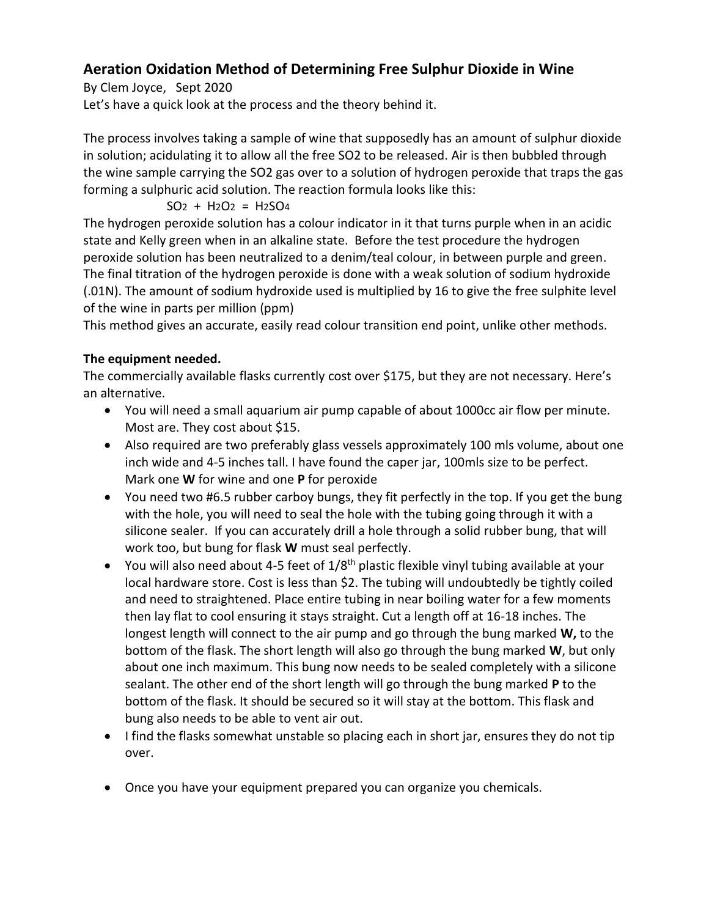# **Aeration Oxidation Method of Determining Free Sulphur Dioxide in Wine**

By Clem Joyce, Sept 2020

Let's have a quick look at the process and the theory behind it.

The process involves taking a sample of wine that supposedly has an amount of sulphur dioxide in solution; acidulating it to allow all the free SO2 to be released. Air is then bubbled through the wine sample carrying the SO2 gas over to a solution of hydrogen peroxide that traps the gas forming a sulphuric acid solution. The reaction formula looks like this:

$$
SO2 + H2O2 = H2SO4
$$

The hydrogen peroxide solution has a colour indicator in it that turns purple when in an acidic state and Kelly green when in an alkaline state. Before the test procedure the hydrogen peroxide solution has been neutralized to a denim/teal colour, in between purple and green. The final titration of the hydrogen peroxide is done with a weak solution of sodium hydroxide (.01N). The amount of sodium hydroxide used is multiplied by 16 to give the free sulphite level of the wine in parts per million (ppm)

This method gives an accurate, easily read colour transition end point, unlike other methods.

# **The equipment needed.**

The commercially available flasks currently cost over \$175, but they are not necessary. Here's an alternative.

- You will need a small aquarium air pump capable of about 1000cc air flow per minute. Most are. They cost about \$15.
- Also required are two preferably glass vessels approximately 100 mls volume, about one inch wide and 4-5 inches tall. I have found the caper jar, 100mls size to be perfect. Mark one **W** for wine and one **P** for peroxide
- You need two #6.5 rubber carboy bungs, they fit perfectly in the top. If you get the bung with the hole, you will need to seal the hole with the tubing going through it with a silicone sealer. If you can accurately drill a hole through a solid rubber bung, that will work too, but bung for flask **W** must seal perfectly.
- You will also need about 4-5 feet of  $1/8<sup>th</sup>$  plastic flexible vinyl tubing available at your local hardware store. Cost is less than \$2. The tubing will undoubtedly be tightly coiled and need to straightened. Place entire tubing in near boiling water for a few moments then lay flat to cool ensuring it stays straight. Cut a length off at 16-18 inches. The longest length will connect to the air pump and go through the bung marked **W,** to the bottom of the flask. The short length will also go through the bung marked **W**, but only about one inch maximum. This bung now needs to be sealed completely with a silicone sealant. The other end of the short length will go through the bung marked **P** to the bottom of the flask. It should be secured so it will stay at the bottom. This flask and bung also needs to be able to vent air out.
- I find the flasks somewhat unstable so placing each in short jar, ensures they do not tip over.
- Once you have your equipment prepared you can organize you chemicals.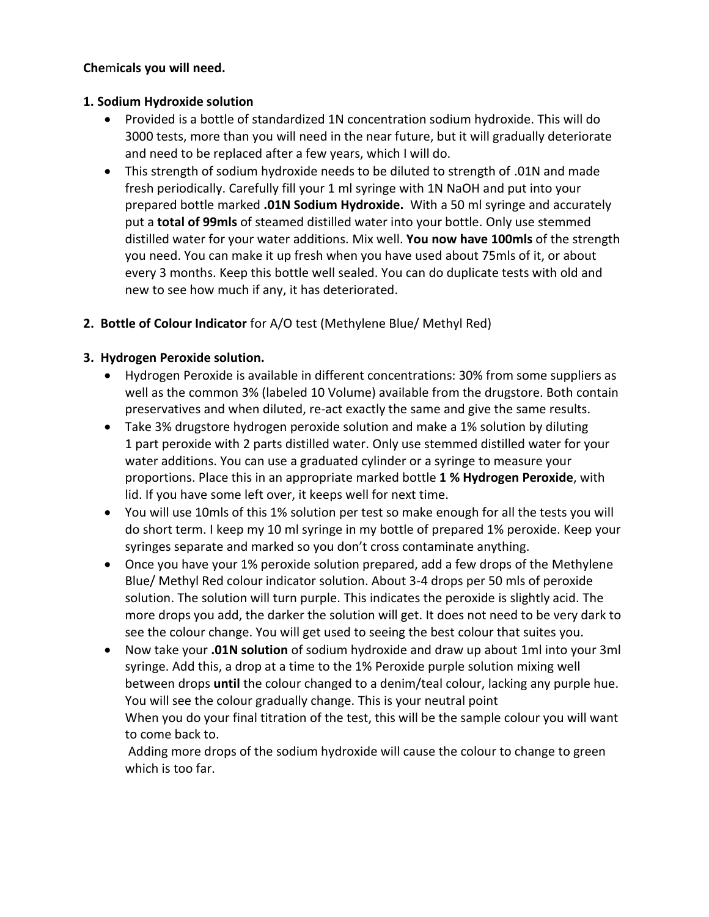#### **Che**m**icals you will need.**

#### **1. Sodium Hydroxide solution**

- Provided is a bottle of standardized 1N concentration sodium hydroxide. This will do 3000 tests, more than you will need in the near future, but it will gradually deteriorate and need to be replaced after a few years, which I will do.
- This strength of sodium hydroxide needs to be diluted to strength of .01N and made fresh periodically. Carefully fill your 1 ml syringe with 1N NaOH and put into your prepared bottle marked **.01N Sodium Hydroxide.** With a 50 ml syringe and accurately put a **total of 99mls** of steamed distilled water into your bottle. Only use stemmed distilled water for your water additions. Mix well. **You now have 100mls** of the strength you need. You can make it up fresh when you have used about 75mls of it, or about every 3 months. Keep this bottle well sealed. You can do duplicate tests with old and new to see how much if any, it has deteriorated.
- **2. Bottle of Colour Indicator** for A/O test (Methylene Blue/ Methyl Red)

# **3. Hydrogen Peroxide solution.**

- Hydrogen Peroxide is available in different concentrations: 30% from some suppliers as well as the common 3% (labeled 10 Volume) available from the drugstore. Both contain preservatives and when diluted, re-act exactly the same and give the same results.
- Take 3% drugstore hydrogen peroxide solution and make a 1% solution by diluting 1 part peroxide with 2 parts distilled water. Only use stemmed distilled water for your water additions. You can use a graduated cylinder or a syringe to measure your proportions. Place this in an appropriate marked bottle **1 % Hydrogen Peroxide**, with lid. If you have some left over, it keeps well for next time.
- You will use 10mls of this 1% solution per test so make enough for all the tests you will do short term. I keep my 10 ml syringe in my bottle of prepared 1% peroxide. Keep your syringes separate and marked so you don't cross contaminate anything.
- Once you have your 1% peroxide solution prepared, add a few drops of the Methylene Blue/ Methyl Red colour indicator solution. About 3-4 drops per 50 mls of peroxide solution. The solution will turn purple. This indicates the peroxide is slightly acid. The more drops you add, the darker the solution will get. It does not need to be very dark to see the colour change. You will get used to seeing the best colour that suites you.
- Now take your **.01N solution** of sodium hydroxide and draw up about 1ml into your 3ml syringe. Add this, a drop at a time to the 1% Peroxide purple solution mixing well between drops **until** the colour changed to a denim/teal colour, lacking any purple hue. You will see the colour gradually change. This is your neutral point When you do your final titration of the test, this will be the sample colour you will want to come back to.

Adding more drops of the sodium hydroxide will cause the colour to change to green which is too far.